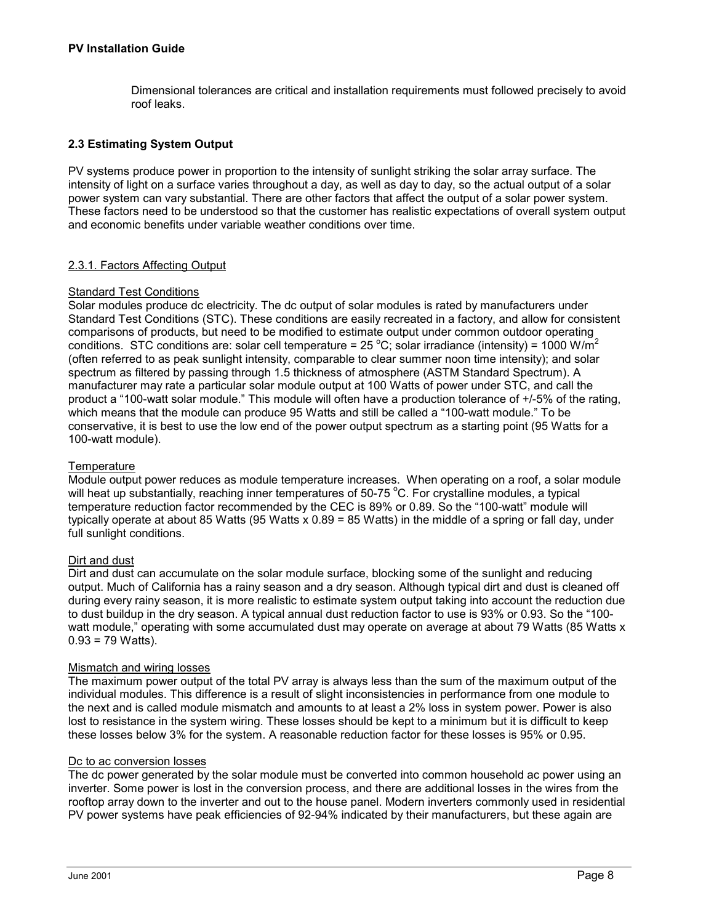Dimensional tolerances are critical and installation requirements must followed precisely to avoid roof leaks.

# **2.3 Estimating System Output**

PV systems produce power in proportion to the intensity of sunlight striking the solar array surface. The intensity of light on a surface varies throughout a day, as well as day to day, so the actual output of a solar power system can vary substantial. There are other factors that affect the output of a solar power system. These factors need to be understood so that the customer has realistic expectations of overall system output and economic benefits under variable weather conditions over time.

## 2.3.1. Factors Affecting Output

### Standard Test Conditions

Solar modules produce dc electricity. The dc output of solar modules is rated by manufacturers under Standard Test Conditions (STC). These conditions are easily recreated in a factory, and allow for consistent comparisons of products, but need to be modified to estimate output under common outdoor operating conditions. STC conditions are: solar cell temperature = 25 °C; solar irradiance (intensity) = 1000 W/m<sup>2</sup> (often referred to as peak sunlight intensity, comparable to clear summer noon time intensity); and solar spectrum as filtered by passing through 1.5 thickness of atmosphere (ASTM Standard Spectrum). A manufacturer may rate a particular solar module output at 100 Watts of power under STC, and call the product a "100-watt solar module." This module will often have a production tolerance of +/-5% of the rating, which means that the module can produce 95 Watts and still be called a "100-watt module." To be conservative, it is best to use the low end of the power output spectrum as a starting point (95 Watts for a 100-watt module).

### **Temperature**

Module output power reduces as module temperature increases. When operating on a roof, a solar module will heat up substantially, reaching inner temperatures of 50-75  $^{\circ}$ C. For crystalline modules, a typical temperature reduction factor recommended by the CEC is 89% or 0.89. So the "100-watt" module will typically operate at about 85 Watts (95 Watts x 0.89 = 85 Watts) in the middle of a spring or fall day, under full sunlight conditions.

## Dirt and dust

Dirt and dust can accumulate on the solar module surface, blocking some of the sunlight and reducing output. Much of California has a rainy season and a dry season. Although typical dirt and dust is cleaned off during every rainy season, it is more realistic to estimate system output taking into account the reduction due to dust buildup in the dry season. A typical annual dust reduction factor to use is 93% or 0.93. So the "100 watt module," operating with some accumulated dust may operate on average at about 79 Watts (85 Watts x  $0.93 = 79$  Watts).

#### Mismatch and wiring losses

The maximum power output of the total PV array is always less than the sum of the maximum output of the individual modules. This difference is a result of slight inconsistencies in performance from one module to the next and is called module mismatch and amounts to at least a 2% loss in system power. Power is also lost to resistance in the system wiring. These losses should be kept to a minimum but it is difficult to keep these losses below 3% for the system. A reasonable reduction factor for these losses is 95% or 0.95.

#### Dc to ac conversion losses

The dc power generated by the solar module must be converted into common household ac power using an inverter. Some power is lost in the conversion process, and there are additional losses in the wires from the rooftop array down to the inverter and out to the house panel. Modern inverters commonly used in residential PV power systems have peak efficiencies of 92-94% indicated by their manufacturers, but these again are